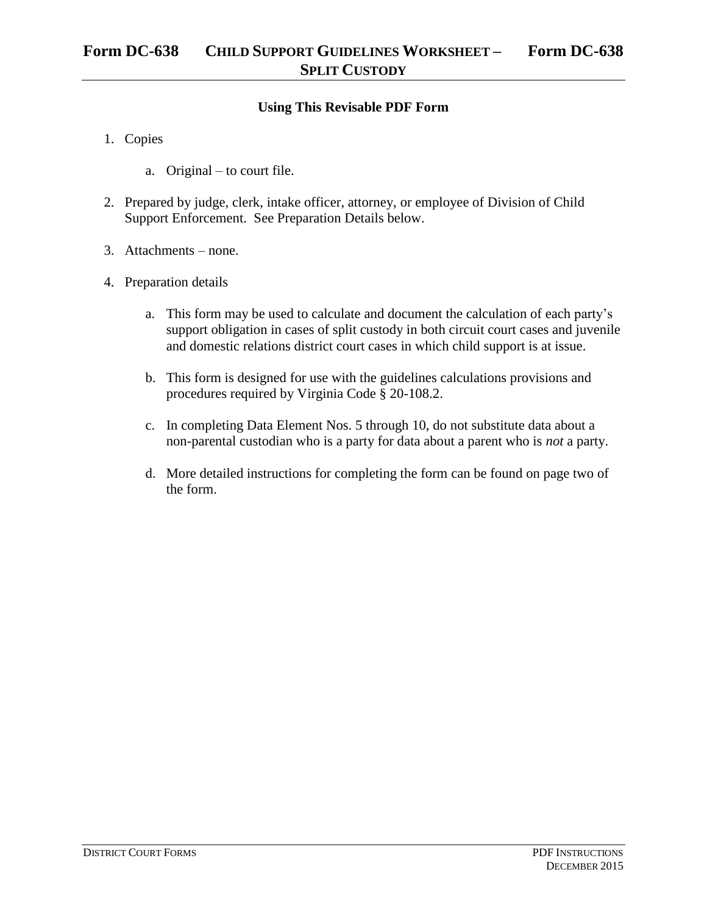## **Using This Revisable PDF Form**

- 1. Copies
	- a. Original to court file.
- 2. Prepared by judge, clerk, intake officer, attorney, or employee of Division of Child Support Enforcement. See Preparation Details below.
- 3. Attachments none.
- 4. Preparation details
	- a. This form may be used to calculate and document the calculation of each party's support obligation in cases of split custody in both circuit court cases and juvenile and domestic relations district court cases in which child support is at issue.
	- b. This form is designed for use with the guidelines calculations provisions and procedures required by Virginia Code § 20-108.2.
	- c. In completing Data Element Nos. 5 through 10, do not substitute data about a non-parental custodian who is a party for data about a parent who is *not* a party.
	- d. More detailed instructions for completing the form can be found on page two of the form.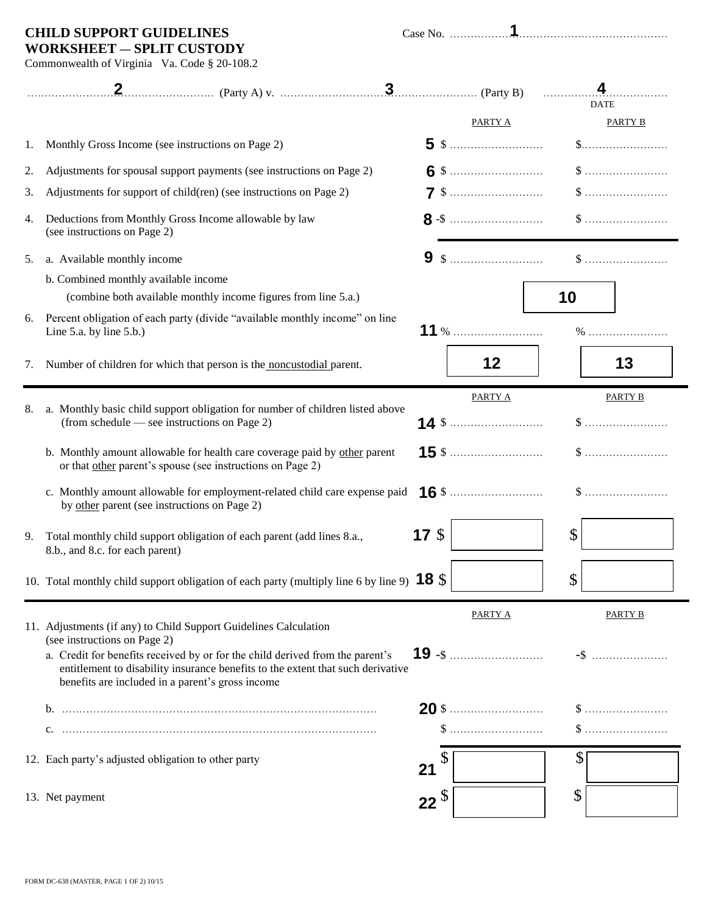# **CHILD SUPPORT GUIDELINES**

| Case No |  |
|---------|--|
|         |  |

### **WORKSHEET** ― **SPLIT CUSTODY** Commonwealth of Virginia Va. Code § 20-108.2

|    |                                                                                                                                                                                                                                                                                                                          |                 |                                                      | .             |                                                      |
|----|--------------------------------------------------------------------------------------------------------------------------------------------------------------------------------------------------------------------------------------------------------------------------------------------------------------------------|-----------------|------------------------------------------------------|---------------|------------------------------------------------------|
|    |                                                                                                                                                                                                                                                                                                                          |                 | PARTY A                                              |               | <b>DATE</b><br><b>PARTY B</b>                        |
| 1. | Monthly Gross Income (see instructions on Page 2)                                                                                                                                                                                                                                                                        |                 |                                                      |               | $\$\ldots\ldots\ldots\ldots\ldots\ldots\ldots\ldots$ |
| 2. | Adjustments for spousal support payments (see instructions on Page 2)                                                                                                                                                                                                                                                    |                 |                                                      |               |                                                      |
| 3. | Adjustments for support of child(ren) (see instructions on Page 2)                                                                                                                                                                                                                                                       |                 |                                                      |               |                                                      |
| 4. | Deductions from Monthly Gross Income allowable by law<br>(see instructions on Page 2)                                                                                                                                                                                                                                    |                 |                                                      |               |                                                      |
| 5. | a. Available monthly income                                                                                                                                                                                                                                                                                              |                 |                                                      |               |                                                      |
|    | b. Combined monthly available income                                                                                                                                                                                                                                                                                     |                 |                                                      |               |                                                      |
|    | (combine both available monthly income figures from line 5.a.)                                                                                                                                                                                                                                                           |                 |                                                      | 10            |                                                      |
| 6. | Percent obligation of each party (divide "available monthly income" on line<br>Line 5.a. by line $5.b.)$                                                                                                                                                                                                                 |                 |                                                      |               |                                                      |
| 7. | Number of children for which that person is the noncustodial parent.                                                                                                                                                                                                                                                     |                 | 12                                                   |               | 13                                                   |
| 8. | a. Monthly basic child support obligation for number of children listed above<br>(from schedule — see instructions on Page 2)                                                                                                                                                                                            |                 | <b>PARTY A</b>                                       |               | <b>PARTY B</b>                                       |
|    | b. Monthly amount allowable for health care coverage paid by other parent<br>or that other parent's spouse (see instructions on Page 2)                                                                                                                                                                                  |                 |                                                      |               | $\$\ldots\ldots\ldots\ldots\ldots\ldots\ldots\ldots$ |
|    | c. Monthly amount allowable for employment-related child care expense paid<br>by other parent (see instructions on Page 2)                                                                                                                                                                                               |                 |                                                      |               |                                                      |
| 9. | Total monthly child support obligation of each parent (add lines 8.a.,<br>8.b., and 8.c. for each parent)                                                                                                                                                                                                                | 17 <sub>3</sub> |                                                      | $\mathcal{S}$ |                                                      |
|    | 10. Total monthly child support obligation of each party (multiply line 6 by line 9) $18\%$                                                                                                                                                                                                                              |                 |                                                      | \$            |                                                      |
|    | 11. Adjustments (if any) to Child Support Guidelines Calculation<br>(see instructions on Page 2)<br>a. Credit for benefits received by or for the child derived from the parent's<br>entitlement to disability insurance benefits to the extent that such derivative<br>benefits are included in a parent's gross income |                 | <b>PARTY A</b>                                       |               | PARTY B<br>$-$ \$                                    |
|    |                                                                                                                                                                                                                                                                                                                          |                 | $\$\ldots\ldots\ldots\ldots\ldots\ldots\ldots\ldots$ |               | $\$\ldots\ldots\ldots\ldots\ldots\ldots\ldots\ldots$ |
|    | 12. Each party's adjusted obligation to other party                                                                                                                                                                                                                                                                      | 21              |                                                      | \$            |                                                      |
|    | 13. Net payment                                                                                                                                                                                                                                                                                                          | $22^{\circ}$    |                                                      | \$            |                                                      |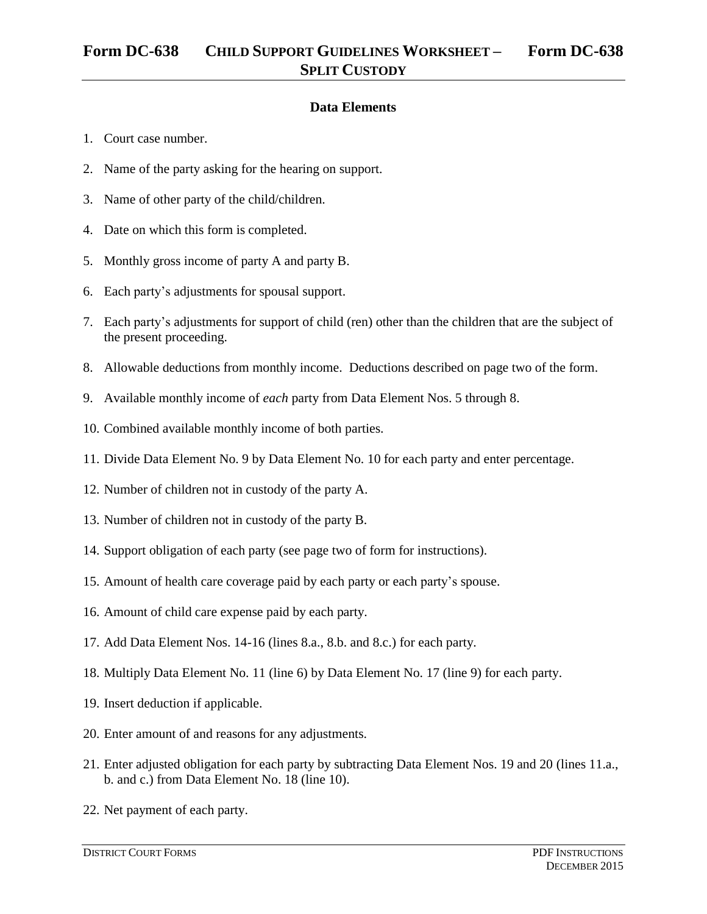### **Data Elements**

- 1. Court case number.
- 2. Name of the party asking for the hearing on support.
- 3. Name of other party of the child/children.
- 4. Date on which this form is completed.
- 5. Monthly gross income of party A and party B.
- 6. Each party's adjustments for spousal support.
- 7. Each party's adjustments for support of child (ren) other than the children that are the subject of the present proceeding.
- 8. Allowable deductions from monthly income. Deductions described on page two of the form.
- 9. Available monthly income of *each* party from Data Element Nos. 5 through 8.
- 10. Combined available monthly income of both parties.
- 11. Divide Data Element No. 9 by Data Element No. 10 for each party and enter percentage.
- 12. Number of children not in custody of the party A.
- 13. Number of children not in custody of the party B.
- 14. Support obligation of each party (see page two of form for instructions).
- 15. Amount of health care coverage paid by each party or each party's spouse.
- 16. Amount of child care expense paid by each party.
- 17. Add Data Element Nos. 14-16 (lines 8.a., 8.b. and 8.c.) for each party.
- 18. Multiply Data Element No. 11 (line 6) by Data Element No. 17 (line 9) for each party.
- 19. Insert deduction if applicable.
- 20. Enter amount of and reasons for any adjustments.
- 21. Enter adjusted obligation for each party by subtracting Data Element Nos. 19 and 20 (lines 11.a., b. and c.) from Data Element No. 18 (line 10).
- 22. Net payment of each party.